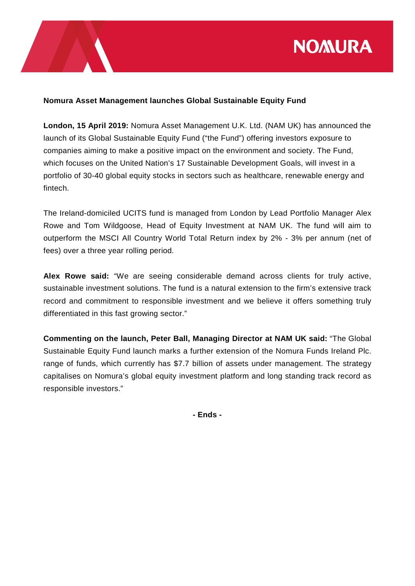

## **Nomura Asset Management launches Global Sustainable Equity Fund**

**London, 15 April 2019:** Nomura Asset Management U.K. Ltd. (NAM UK) has announced the launch of its Global Sustainable Equity Fund ("the Fund") offering investors exposure to companies aiming to make a positive impact on the environment and society. The Fund, which focuses on the United Nation's 17 Sustainable Development Goals, will invest in a portfolio of 30-40 global equity stocks in sectors such as healthcare, renewable energy and fintech.

The Ireland-domiciled UCITS fund is managed from London by Lead Portfolio Manager Alex Rowe and Tom Wildgoose, Head of Equity Investment at NAM UK. The fund will aim to outperform the MSCI All Country World Total Return index by 2% - 3% per annum (net of fees) over a three year rolling period.

**Alex Rowe said:** "We are seeing considerable demand across clients for truly active, sustainable investment solutions. The fund is a natural extension to the firm's extensive track record and commitment to responsible investment and we believe it offers something truly differentiated in this fast growing sector."

**Commenting on the launch, Peter Ball, Managing Director at NAM UK said:** "The Global Sustainable Equity Fund launch marks a further extension of the Nomura Funds Ireland Plc. range of funds, which currently has \$7.7 billion of assets under management. The strategy capitalises on Nomura's global equity investment platform and long standing track record as responsible investors."

**- Ends -**